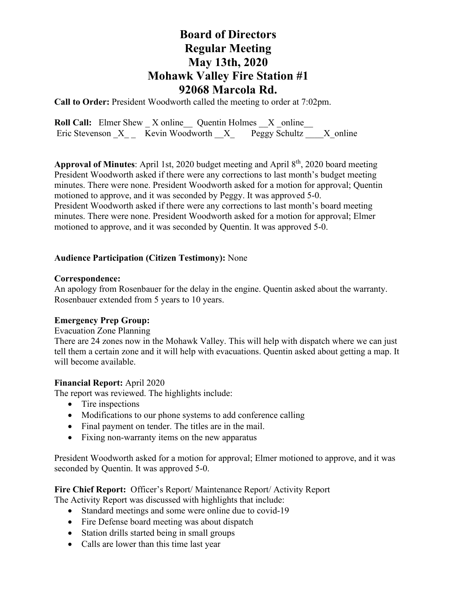# **Board of Directors Regular Meeting May 13th, 2020 Mohawk Valley Fire Station #1 92068 Marcola Rd.**

**Call to Order:** President Woodworth called the meeting to order at 7:02pm.

**Roll Call:** Elmer Shew X online Quentin Holmes X online Eric Stevenson  $X_{--}$  Kevin Woodworth  $X_{--}$  Peggy Schultz  $X_{--}$  X\_online

**Approval of Minutes**: April 1st, 2020 budget meeting and April 8th, 2020 board meeting President Woodworth asked if there were any corrections to last month's budget meeting minutes. There were none. President Woodworth asked for a motion for approval; Quentin motioned to approve, and it was seconded by Peggy. It was approved 5-0. President Woodworth asked if there were any corrections to last month's board meeting minutes. There were none. President Woodworth asked for a motion for approval; Elmer motioned to approve, and it was seconded by Quentin. It was approved 5-0.

# **Audience Participation (Citizen Testimony):** None

## **Correspondence:**

An apology from Rosenbauer for the delay in the engine. Quentin asked about the warranty. Rosenbauer extended from 5 years to 10 years.

# **Emergency Prep Group:**

# Evacuation Zone Planning

There are 24 zones now in the Mohawk Valley. This will help with dispatch where we can just tell them a certain zone and it will help with evacuations. Quentin asked about getting a map. It will become available.

# **Financial Report:** April 2020

The report was reviewed. The highlights include:

- Tire inspections
- Modifications to our phone systems to add conference calling
- Final payment on tender. The titles are in the mail.
- Fixing non-warranty items on the new apparatus

President Woodworth asked for a motion for approval; Elmer motioned to approve, and it was seconded by Quentin. It was approved 5-0.

### **Fire Chief Report:** Officer's Report/ Maintenance Report/ Activity Report The Activity Report was discussed with highlights that include:

- Standard meetings and some were online due to covid-19
- Fire Defense board meeting was about dispatch
- Station drills started being in small groups
- Calls are lower than this time last year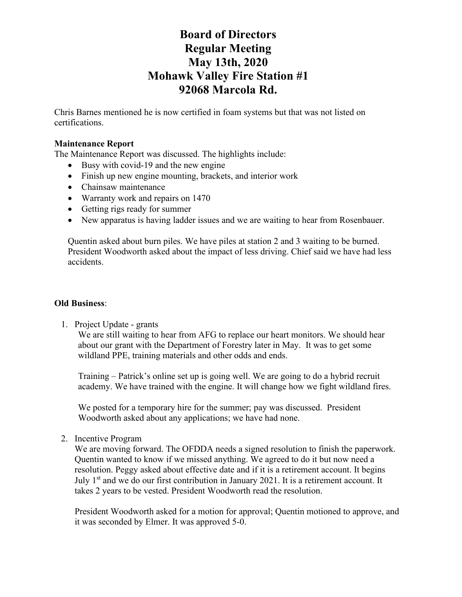# **Board of Directors Regular Meeting May 13th, 2020 Mohawk Valley Fire Station #1 92068 Marcola Rd.**

Chris Barnes mentioned he is now certified in foam systems but that was not listed on certifications.

### **Maintenance Report**

The Maintenance Report was discussed. The highlights include:

- Busy with covid-19 and the new engine
- Finish up new engine mounting, brackets, and interior work
- Chainsaw maintenance
- Warranty work and repairs on 1470
- Getting rigs ready for summer
- New apparatus is having ladder issues and we are waiting to hear from Rosenbauer.

Quentin asked about burn piles. We have piles at station 2 and 3 waiting to be burned. President Woodworth asked about the impact of less driving. Chief said we have had less accidents.

#### **Old Business**:

1. Project Update - grants

We are still waiting to hear from AFG to replace our heart monitors. We should hear about our grant with the Department of Forestry later in May. It was to get some wildland PPE, training materials and other odds and ends.

Training – Patrick's online set up is going well. We are going to do a hybrid recruit academy. We have trained with the engine. It will change how we fight wildland fires.

We posted for a temporary hire for the summer; pay was discussed. President Woodworth asked about any applications; we have had none.

2. Incentive Program

We are moving forward. The OFDDA needs a signed resolution to finish the paperwork. Quentin wanted to know if we missed anything. We agreed to do it but now need a resolution. Peggy asked about effective date and if it is a retirement account. It begins July 1<sup>st</sup> and we do our first contribution in January 2021. It is a retirement account. It takes 2 years to be vested. President Woodworth read the resolution.

President Woodworth asked for a motion for approval; Quentin motioned to approve, and it was seconded by Elmer. It was approved 5-0.